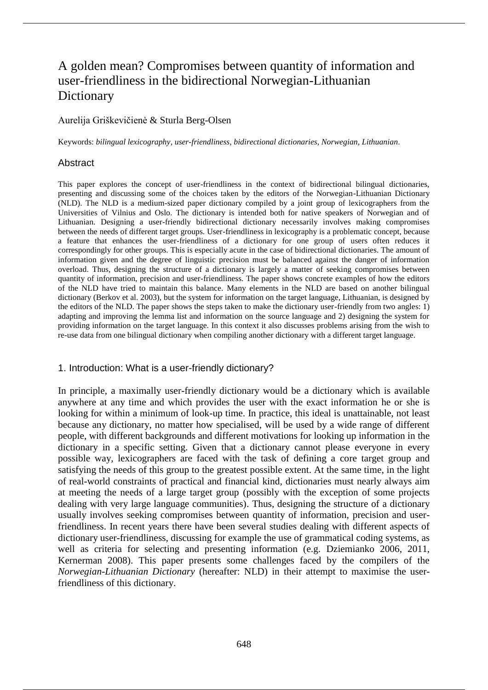# A golden mean? Compromises between quantity of information and user-friendliness in the bidirectional Norwegian-Lithuanian **Dictionary**

## Aurelija Griškevičienė & Sturla Berg-Olsen

Keywords: *bilingual lexicography*, *user-friendliness*, *bidirectional dictionaries*, *Norwegian*, *Lithuanian*.

#### **Abstract**

This paper explores the concept of user-friendliness in the context of bidirectional bilingual dictionaries, presenting and discussing some of the choices taken by the editors of the Norwegian-Lithuanian Dictionary (NLD). The NLD is a medium-sized paper dictionary compiled by a joint group of lexicographers from the Universities of Vilnius and Oslo. The dictionary is intended both for native speakers of Norwegian and of Lithuanian. Designing a user-friendly bidirectional dictionary necessarily involves making compromises between the needs of different target groups. User-friendliness in lexicography is a problematic concept, because a feature that enhances the user-friendliness of a dictionary for one group of users often reduces it correspondingly for other groups. This is especially acute in the case of bidirectional dictionaries. The amount of information given and the degree of linguistic precision must be balanced against the danger of information overload. Thus, designing the structure of a dictionary is largely a matter of seeking compromises between quantity of information, precision and user-friendliness. The paper shows concrete examples of how the editors of the NLD have tried to maintain this balance. Many elements in the NLD are based on another bilingual dictionary (Berkov et al. 2003), but the system for information on the target language, Lithuanian, is designed by the editors of the NLD. The paper shows the steps taken to make the dictionary user-friendly from two angles: 1) adapting and improving the lemma list and information on the source language and 2) designing the system for providing information on the target language. In this context it also discusses problems arising from the wish to re-use data from one bilingual dictionary when compiling another dictionary with a different target language.

#### 1. Introduction: What is a user-friendly dictionary?

In principle, a maximally user-friendly dictionary would be a dictionary which is available anywhere at any time and which provides the user with the exact information he or she is looking for within a minimum of look-up time. In practice, this ideal is unattainable, not least because any dictionary, no matter how specialised, will be used by a wide range of different people, with different backgrounds and different motivations for looking up information in the dictionary in a specific setting. Given that a dictionary cannot please everyone in every possible way, lexicographers are faced with the task of defining a core target group and satisfying the needs of this group to the greatest possible extent. At the same time, in the light of real-world constraints of practical and financial kind, dictionaries must nearly always aim at meeting the needs of a large target group (possibly with the exception of some projects dealing with very large language communities). Thus, designing the structure of a dictionary usually involves seeking compromises between quantity of information, precision and userfriendliness. In recent years there have been several studies dealing with different aspects of dictionary user-friendliness, discussing for example the use of grammatical coding systems, as well as criteria for selecting and presenting information (e.g. Dziemianko 2006, 2011, Kernerman 2008). This paper presents some challenges faced by the compilers of the *Norwegian-Lithuanian Dictionary* (hereafter: NLD) in their attempt to maximise the userfriendliness of this dictionary.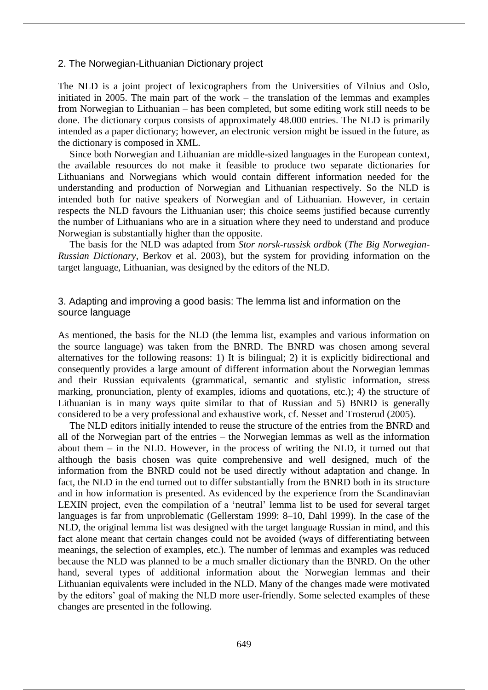#### 2. The Norwegian-Lithuanian Dictionary project

The NLD is a joint project of lexicographers from the Universities of Vilnius and Oslo, initiated in 2005. The main part of the work – the translation of the lemmas and examples from Norwegian to Lithuanian – has been completed, but some editing work still needs to be done. The dictionary corpus consists of approximately 48.000 entries. The NLD is primarily intended as a paper dictionary; however, an electronic version might be issued in the future, as the dictionary is composed in XML.

Since both Norwegian and Lithuanian are middle-sized languages in the European context, the available resources do not make it feasible to produce two separate dictionaries for Lithuanians and Norwegians which would contain different information needed for the understanding and production of Norwegian and Lithuanian respectively. So the NLD is intended both for native speakers of Norwegian and of Lithuanian. However, in certain respects the NLD favours the Lithuanian user; this choice seems justified because currently the number of Lithuanians who are in a situation where they need to understand and produce Norwegian is substantially higher than the opposite.

The basis for the NLD was adapted from *Stor norsk-russisk ordbok* (*The Big Norwegian-Russian Dictionary*, Berkov et al. 2003), but the system for providing information on the target language, Lithuanian, was designed by the editors of the NLD.

## 3. Adapting and improving a good basis: The lemma list and information on the source language

As mentioned, the basis for the NLD (the lemma list, examples and various information on the source language) was taken from the BNRD. The BNRD was chosen among several alternatives for the following reasons: 1) It is bilingual; 2) it is explicitly bidirectional and consequently provides a large amount of different information about the Norwegian lemmas and their Russian equivalents (grammatical, semantic and stylistic information, stress marking, pronunciation, plenty of examples, idioms and quotations, etc.); 4) the structure of Lithuanian is in many ways quite similar to that of Russian and 5) BNRD is generally considered to be a very professional and exhaustive work, cf. Nesset and Trosterud (2005).

The NLD editors initially intended to reuse the structure of the entries from the BNRD and all of the Norwegian part of the entries – the Norwegian lemmas as well as the information about them – in the NLD. However, in the process of writing the NLD, it turned out that although the basis chosen was quite comprehensive and well designed, much of the information from the BNRD could not be used directly without adaptation and change. In fact, the NLD in the end turned out to differ substantially from the BNRD both in its structure and in how information is presented. As evidenced by the experience from the Scandinavian LEXIN project, even the compilation of a 'neutral' lemma list to be used for several target languages is far from unproblematic (Gellerstam 1999: 8–10, Dahl 1999). In the case of the NLD, the original lemma list was designed with the target language Russian in mind, and this fact alone meant that certain changes could not be avoided (ways of differentiating between meanings, the selection of examples, etc.). The number of lemmas and examples was reduced because the NLD was planned to be a much smaller dictionary than the BNRD. On the other hand, several types of additional information about the Norwegian lemmas and their Lithuanian equivalents were included in the NLD. Many of the changes made were motivated by the editors' goal of making the NLD more user-friendly. Some selected examples of these changes are presented in the following.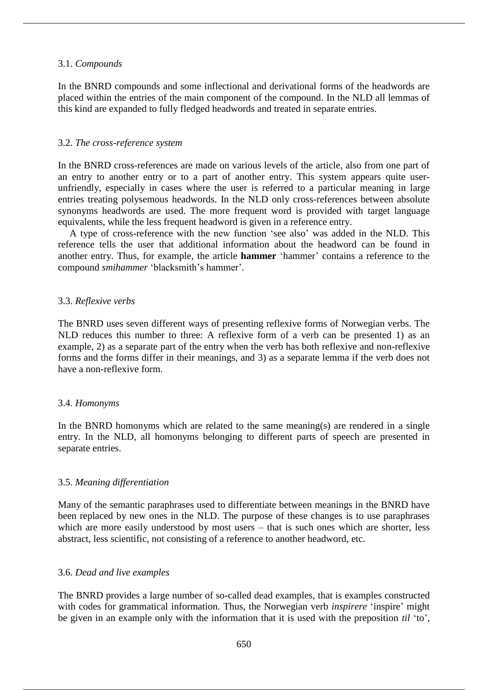#### 3.1. *Compounds*

In the BNRD compounds and some inflectional and derivational forms of the headwords are placed within the entries of the main component of the compound. In the NLD all lemmas of this kind are expanded to fully fledged headwords and treated in separate entries.

#### 3.2. *The cross-reference system*

In the BNRD cross-references are made on various levels of the article, also from one part of an entry to another entry or to a part of another entry. This system appears quite userunfriendly, especially in cases where the user is referred to a particular meaning in large entries treating polysemous headwords. In the NLD only cross-references between absolute synonyms headwords are used. The more frequent word is provided with target language equivalents, while the less frequent headword is given in a reference entry.

A type of cross-reference with the new function 'see also' was added in the NLD. This reference tells the user that additional information about the headword can be found in another entry. Thus, for example, the article **hammer** 'hammer' contains a reference to the compound *smihammer* 'blacksmith's hammer'.

## 3.3. *Reflexive verbs*

The BNRD uses seven different ways of presenting reflexive forms of Norwegian verbs. The NLD reduces this number to three: A reflexive form of a verb can be presented 1) as an example, 2) as a separate part of the entry when the verb has both reflexive and non-reflexive forms and the forms differ in their meanings, and 3) as a separate lemma if the verb does not have a non-reflexive form.

## 3.4. *Homonyms*

In the BNRD homonyms which are related to the same meaning(s) are rendered in a single entry. In the NLD, all homonyms belonging to different parts of speech are presented in separate entries.

## 3.5. *Meaning differentiation*

Many of the semantic paraphrases used to differentiate between meanings in the BNRD have been replaced by new ones in the NLD. The purpose of these changes is to use paraphrases which are more easily understood by most users – that is such ones which are shorter, less abstract, less scientific, not consisting of a reference to another headword, etc.

## 3.6. *Dead and live examples*

The BNRD provides a large number of so-called dead examples, that is examples constructed with codes for grammatical information. Thus, the Norwegian verb *inspirere* 'inspire' might be given in an example only with the information that it is used with the preposition *til* 'to',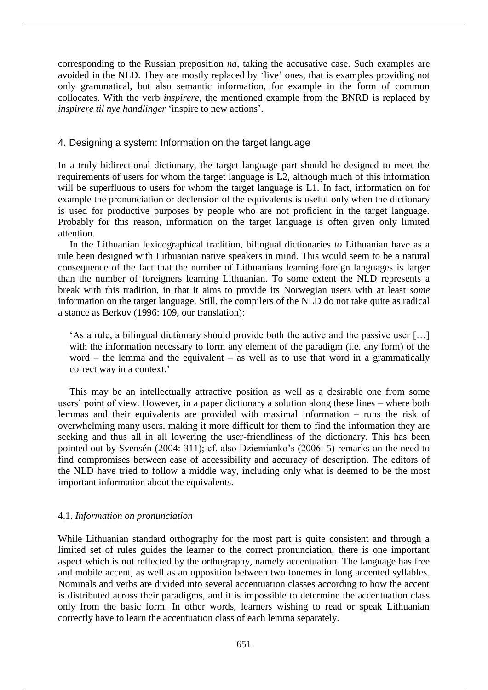corresponding to the Russian preposition *na*, taking the accusative case. Such examples are avoided in the NLD. They are mostly replaced by 'live' ones, that is examples providing not only grammatical, but also semantic information, for example in the form of common collocates. With the verb *inspirere*, the mentioned example from the BNRD is replaced by *inspirere til nye handlinger* 'inspire to new actions'.

## 4. Designing a system: Information on the target language

In a truly bidirectional dictionary, the target language part should be designed to meet the requirements of users for whom the target language is L2, although much of this information will be superfluous to users for whom the target language is L1. In fact, information on for example the pronunciation or declension of the equivalents is useful only when the dictionary is used for productive purposes by people who are not proficient in the target language. Probably for this reason, information on the target language is often given only limited attention.

In the Lithuanian lexicographical tradition, bilingual dictionaries *to* Lithuanian have as a rule been designed with Lithuanian native speakers in mind. This would seem to be a natural consequence of the fact that the number of Lithuanians learning foreign languages is larger than the number of foreigners learning Lithuanian. To some extent the NLD represents a break with this tradition, in that it aims to provide its Norwegian users with at least *some* information on the target language. Still, the compilers of the NLD do not take quite as radical a stance as Berkov (1996: 109, our translation):

'As a rule, a bilingual dictionary should provide both the active and the passive user […] with the information necessary to form any element of the paradigm (i.e. any form) of the word – the lemma and the equivalent – as well as to use that word in a grammatically correct way in a context.'

This may be an intellectually attractive position as well as a desirable one from some users' point of view. However, in a paper dictionary a solution along these lines – where both lemmas and their equivalents are provided with maximal information – runs the risk of overwhelming many users, making it more difficult for them to find the information they are seeking and thus all in all lowering the user-friendliness of the dictionary. This has been pointed out by Svensén (2004: 311); cf. also Dziemianko's (2006: 5) remarks on the need to find compromises between ease of accessibility and accuracy of description. The editors of the NLD have tried to follow a middle way, including only what is deemed to be the most important information about the equivalents.

## 4.1. *Information on pronunciation*

While Lithuanian standard orthography for the most part is quite consistent and through a limited set of rules guides the learner to the correct pronunciation, there is one important aspect which is not reflected by the orthography, namely accentuation. The language has free and mobile accent, as well as an opposition between two tonemes in long accented syllables. Nominals and verbs are divided into several accentuation classes according to how the accent is distributed across their paradigms, and it is impossible to determine the accentuation class only from the basic form. In other words, learners wishing to read or speak Lithuanian correctly have to learn the accentuation class of each lemma separately.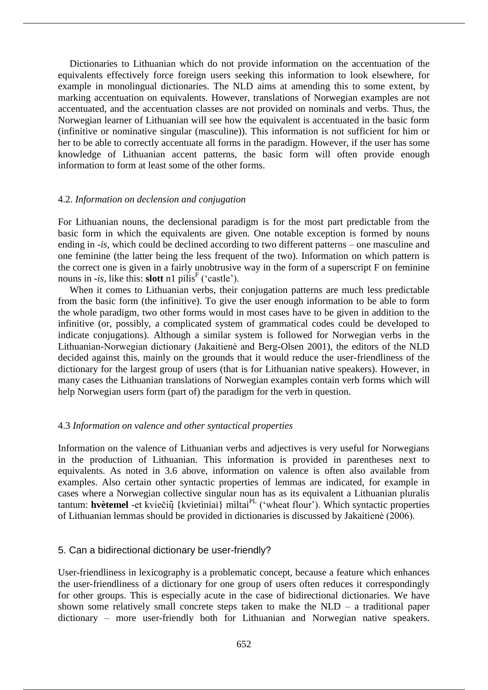Dictionaries to Lithuanian which do not provide information on the accentuation of the equivalents effectively force foreign users seeking this information to look elsewhere, for example in monolingual dictionaries. The NLD aims at amending this to some extent, by marking accentuation on equivalents. However, translations of Norwegian examples are not accentuated, and the accentuation classes are not provided on nominals and verbs. Thus, the Norwegian learner of Lithuanian will see how the equivalent is accentuated in the basic form (infinitive or nominative singular (masculine)). This information is not sufficient for him or her to be able to correctly accentuate all forms in the paradigm. However, if the user has some knowledge of Lithuanian accent patterns, the basic form will often provide enough information to form at least some of the other forms.

#### 4.2. *Information on declension and conjugation*

For Lithuanian nouns, the declensional paradigm is for the most part predictable from the basic form in which the equivalents are given. One notable exception is formed by nouns ending in *-is*, which could be declined according to two different patterns – one masculine and one feminine (the latter being the less frequent of the two). Information on which pattern is the correct one is given in a fairly unobtrusive way in the form of a superscript F on feminine nouns in *-is*, like this: **slott** n1 pills<sup>F</sup> ('castle').

When it comes to Lithuanian verbs, their conjugation patterns are much less predictable from the basic form (the infinitive). To give the user enough information to be able to form the whole paradigm, two other forms would in most cases have to be given in addition to the infinitive (or, possibly, a complicated system of grammatical codes could be developed to indicate conjugations). Although a similar system is followed for Norwegian verbs in the Lithuanian-Norwegian dictionary (Jakaitienė and Berg-Olsen 2001), the editors of the NLD decided against this, mainly on the grounds that it would reduce the user-friendliness of the dictionary for the largest group of users (that is for Lithuanian native speakers). However, in many cases the Lithuanian translations of Norwegian examples contain verb forms which will help Norwegian users form (part of) the paradigm for the verb in question.

## 4.3 *Information on valence and other syntactical properties*

Information on the valence of Lithuanian verbs and adjectives is very useful for Norwegians in the production of Lithuanian. This information is provided in parentheses next to equivalents. As noted in 3.6 above, information on valence is often also available from examples. Also certain other syntactic properties of lemmas are indicated, for example in cases where a Norwegian collective singular noun has as its equivalent a Lithuanian pluralis tantum: **hvètemel** -et kviečių̃ {kvietìniai} mìltai<sup>PL</sup> ('wheat flour'). Which syntactic properties of Lithuanian lemmas should be provided in dictionaries is discussed by Jakaitienė (2006).

## 5. Can a bidirectional dictionary be user-friendly?

User-friendliness in lexicography is a problematic concept, because a feature which enhances the user-friendliness of a dictionary for one group of users often reduces it correspondingly for other groups. This is especially acute in the case of bidirectional dictionaries. We have shown some relatively small concrete steps taken to make the NLD – a traditional paper dictionary – more user-friendly both for Lithuanian and Norwegian native speakers.